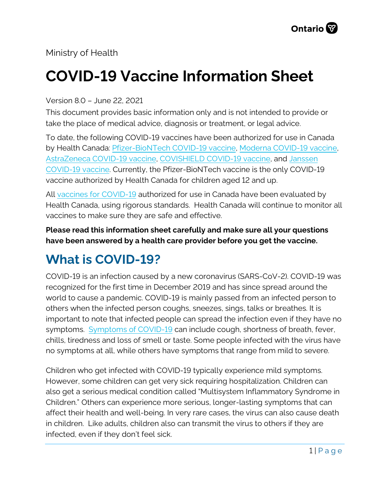Ministry of Health

# **COVID-19 Vaccine Information Sheet**

Version 8.0 – June 22, 2021

This document provides basic information only and is not intended to provide or take the place of medical advice, diagnosis or treatment, or legal advice.

To date, the following COVID-19 vaccines have been authorized for use in Canada by Health Canada: [Pfizer-BioNTech COVID-19](https://covid-vaccine.canada.ca/pfizer-biontech-covid-19-vaccine/product-details) vaccine, [Moderna COVID-19 vaccine,](https://covid-vaccine.canada.ca/covid-19-vaccine-moderna/product-details)  [AstraZeneca COVID-19 vaccine,](https://covid-vaccine.canada.ca/astrazeneca-covid-19-vaccine/product-details) [COVISHIELD COVID-19 vaccine,](https://covid-vaccine.canada.ca/covishield/product-details) and [Janssen](https://covid-vaccine.canada.ca/janssen-covid-19-vaccine/product-details)  [COVID-19 vaccine.](https://covid-vaccine.canada.ca/janssen-covid-19-vaccine/product-details) Currently, the Pfizer-BioNTech vaccine is the only COVID-19 vaccine authorized by Health Canada for children aged 12 and up.

All vaccines [for COVID-19](https://www.canada.ca/en/public-health/services/diseases/coronavirus-disease-covid-19/vaccines.htm) authorized for use in Canada have been evaluated by Health Canada, using rigorous standards. Health Canada will continue to monitor all vaccines to make sure they are safe and effective.

**Please read this information sheet carefully and make sure all your questions have been answered by a health care provider before you get the vaccine.**

# **What is COVID-19?**

COVID-19 is an infection caused by a new coronavirus (SARS-CoV-2). COVID-19 was recognized for the first time in December 2019 and has since spread around the world to cause a pandemic. COVID-19 is mainly passed from an infected person to others when the infected person coughs, sneezes, sings, talks or breathes. It is important to note that infected people can spread the infection even if they have no symptoms. [Symptoms of COVID-19](https://www.canada.ca/en/public-health/services/diseases/2019-novel-coronavirus-infection/symptoms.html) can include cough, shortness of breath, fever, chills, tiredness and loss of smell or taste. Some people infected with the virus have no symptoms at all, while others have symptoms that range from mild to severe.

Children who get infected with COVID-19 typically experience mild symptoms. However, some children can get very sick requiring hospitalization. Children can also get a serious medical condition called "Multisystem Inflammatory Syndrome in Children." Others can experience more serious, longer-lasting symptoms that can affect their health and well-being. In very rare cases, the virus can also cause death in children. Like adults, children also can transmit the virus to others if they are infected, even if they don't feel sick.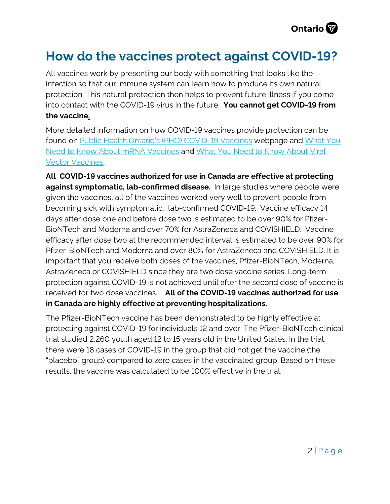### **How do the vaccines protect against COVID-19?**

All vaccines work by presenting our body with something that looks like the infection so that our immune system can learn how to produce its own natural protection. This natural protection then helps to prevent future illness if you come into contact with the COVID-19 virus in the future. **You cannot get COVID-19 from the vaccine.**

More detailed information on how COVID-19 vaccines provide protection can be found on [Public Health Ontario's \(PHO\) COVID-19 Vaccines](https://www.publichealthontario.ca/en/diseases-and-conditions/infectious-diseases/respiratory-diseases/novel-coronavirus) webpage and [What You](https://www.publichealthontario.ca/-/media/documents/ncov/factsheet/2021/01/vac/factsheet-covid-19-vaccines.pdf?la=en)  [Need to Know About mRNA](https://www.publichealthontario.ca/-/media/documents/ncov/factsheet/2021/01/vac/factsheet-covid-19-vaccines.pdf?la=en) Vaccines and [What You Need to Know About Viral](https://www.publichealthontario.ca/-/media/documents/ncov/vaccines/2021/04/covid-19-fact-sheet-viral-vector-vaccines.pdf?la=en)  [Vector Vaccines.](https://www.publichealthontario.ca/-/media/documents/ncov/vaccines/2021/04/covid-19-fact-sheet-viral-vector-vaccines.pdf?la=en) 

**All COVID-19 vaccines authorized for use in Canada are effective at protecting against symptomatic, lab-confirmed disease.** In large studies where people were given the vaccines, all of the vaccines worked very well to prevent people from becoming sick with symptomatic, lab-confirmed COVID-19. Vaccine efficacy 14 days after dose one and before dose two is estimated to be over 90% for Pfizer-BioNTech and Moderna and over 70% for AstraZeneca and COVISHIELD. Vaccine efficacy after dose two at the recommended interval is estimated to be over 90% for Pfizer-BioNTech and Moderna and over 80% for AstraZeneca and COVISHIELD. It is important that you receive both doses of the vaccines, Pfizer-BioNTech, Moderna, AstraZeneca or COVISHIELD since they are two dose vaccine series. Long-term protection against COVID-19 is not achieved until after the second dose of vaccine is received for two dose vaccines. **All of the COVID-19 vaccines authorized for use in Canada are highly effective at preventing hospitalizations.**

The Pfizer-BioNTech vaccine has been demonstrated to be highly effective at protecting against COVID-19 for individuals 12 and over. The Pfizer-BioNTech clinical trial studied 2,260 youth aged 12 to 15 years old in the United States. In the trial, there were 18 cases of COVID-19 in the group that did not get the vaccine (the "placebo" group) compared to zero cases in the vaccinated group. Based on these results, the vaccine was calculated to be 100% effective in the trial.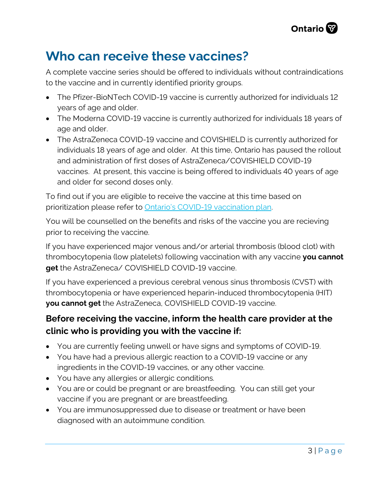

#### **Who can receive these vaccines?**

A complete vaccine series should be offered to individuals without contraindications to the vaccine and in currently identified priority groups.

- The Pfizer-BioNTech COVID-19 vaccine is currently authorized for individuals 12 years of age and older.
- The Moderna COVID-19 vaccine is currently authorized for individuals 18 years of age and older.
- The AstraZeneca COVID-19 vaccine and COVISHIELD is currently authorized for individuals 18 years of age and older. At this time, Ontario has paused the rollout and administration of first doses of AstraZeneca/COVISHIELD COVID-19 vaccines. At present, this vaccine is being offered to individuals 40 years of age and older for second doses only.

To find out if you are eligible to receive the vaccine at this time based on prioritization please refer to [Ontario's COVID-19 vaccination plan.](https://covid-19.ontario.ca/ontarios-covid-19-vaccination-plan) 

You will be counselled on the benefits and risks of the vaccine you are recieving prior to receiving the vaccine.

If you have experienced major venous and/or arterial thrombosis (blood clot) with thrombocytopenia (low platelets) following vaccination with any vaccine **you cannot get** the AstraZeneca/ COVISHIELD COVID-19 vaccine.

If you have experienced a previous cerebral venous sinus thrombosis (CVST) with thrombocytopenia or have experienced heparin-induced thrombocytopenia (HIT) **you cannot get** the AstraZeneca, COVISHIELD COVID-19 vaccine.

#### **Before receiving the vaccine, inform the health care provider at the clinic who is providing you with the vaccine if:**

- You are currently feeling unwell or have signs and symptoms of COVID-19.
- You have had a previous allergic reaction to a COVID-19 vaccine or any ingredients in the COVID-19 vaccines, or any other vaccine.
- You have any allergies or allergic conditions.
- You are or could be pregnant or are breastfeeding. You can still get your vaccine if you are pregnant or are breastfeeding.
- You are immunosuppressed due to disease or treatment or have been diagnosed with an autoimmune condition.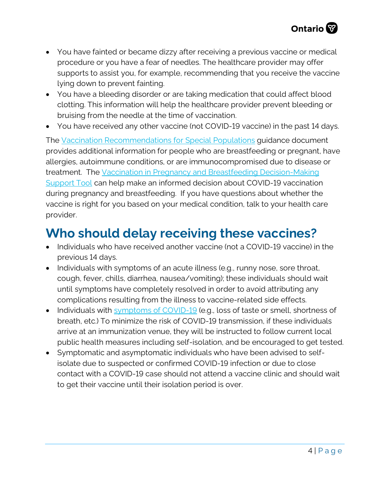- You have fainted or became dizzy after receiving a previous vaccine or medical procedure or you have a fear of needles. The healthcare provider may offer supports to assist you, for example, recommending that you receive the vaccine lying down to prevent fainting.
- You have a bleeding disorder or are taking medication that could affect blood clotting. This information will help the healthcare provider prevent bleeding or bruising from the needle at the time of vaccination.
- You have received any other vaccine (not COVID-19 vaccine) in the past 14 days.

The [Vaccination Recommendations for Special Populations](https://www.health.gov.on.ca/en/pro/programs/publichealth/coronavirus/docs/vaccine/COVID-19_vaccination_rec_special_populations.pdf) guidance document provides additional information for people who are breastfeeding or pregnant, have allergies, autoimmune conditions, or are immunocompromised due to disease or treatment. The [Vaccination in Pregnancy and Breastfeeding Decision-Making](https://www.health.gov.on.ca/en/pro/programs/publichealth/coronavirus/docs/vaccine/COVID-19_vaccination_pregnancy_clinical_support_tool.pdf) [Support Tool](https://www.health.gov.on.ca/en/pro/programs/publichealth/coronavirus/docs/vaccine/COVID-19_vaccination_pregnancy_clinical_support_tool.pdf) can help make an informed decision about COVID-19 vaccination during pregnancy and breastfeeding. If you have questions about whether the vaccine is right for you based on your medical condition, talk to your health care provider.

# **Who should delay receiving these vaccines?**

- Individuals who have received another vaccine (not a COVID-19 vaccine) in the previous 14 days.
- Individuals with symptoms of an acute illness (e.g., runny nose, sore throat, cough, fever, chills, diarrhea, nausea/vomiting); these individuals should wait until symptoms have completely resolved in order to avoid attributing any complications resulting from the illness to vaccine-related side effects.
- Individuals with [symptoms of COVID-19](https://www.canada.ca/en/public-health/services/diseases/2019-novel-coronavirus-infection/symptoms.html?utm_campaign=hc-sc-phm-21-22&utm_medium=sem&utm_source=ggl-grant&utm_content=ad-text-en&utm_term=coronavirus&adv=2122-0008&id_campaign=12663558361&id_source=119762101589&id_content=511679450570) (e.g., loss of taste or smell, shortness of breath, etc.) To minimize the risk of COVID-19 transmission, if these individuals arrive at an immunization venue, they will be instructed to follow current local public health measures including self-isolation, and be encouraged to get tested.
- Symptomatic and asymptomatic individuals who have been advised to selfisolate due to suspected or confirmed COVID-19 infection or due to close contact with a COVID-19 case should not attend a vaccine clinic and should wait to get their vaccine until their isolation period is over.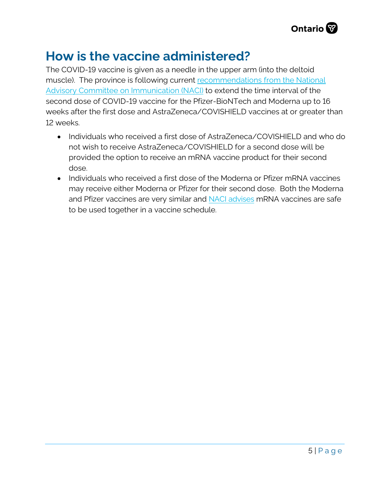

#### **How is the vaccine administered?**

The COVID-19 vaccine is given as a needle in the upper arm (into the deltoid muscle). The province is following current recommendations from the National [Advisory Committee on Immunication \(NACI\)](https://www.canada.ca/en/public-health/services/immunization/national-advisory-committee-on-immunization-naci/recommendations-use-covid-19-vaccines.html) to extend the time interval of the second dose of COVID-19 vaccine for the Pfizer-BioNTech and Moderna up to 16 weeks after the first dose and AstraZeneca/COVISHIELD vaccines at or greater than 12 weeks.

- Individuals who received a first dose of AstraZeneca/COVISHIELD and who do not wish to receive AstraZeneca/COVISHIELD for a second dose will be provided the option to receive an mRNA vaccine product for their second dose.
- Individuals who received a first dose of the Moderna or Pfizer mRNA vaccines may receive either Moderna or Pfizer for their second dose. Both the Moderna and Pfizer vaccines are very similar and [NACI advises](https://www.canada.ca/content/dam/phac-aspc/documents/services/immunization/national-advisory-committee-on-immunization-naci/naci-rapid-response-interchangeability-authorized-covid-19-vaccines-en.pdf) mRNA vaccines are safe to be used together in a vaccine schedule.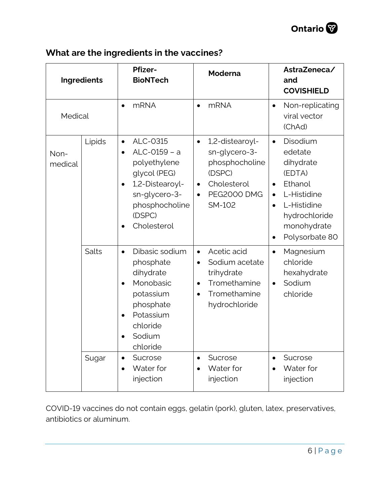

#### **What are the ingredients in the vaccines?**

| Ingredients     |        | <b>Pfizer-</b><br><b>BioNTech</b>                                                                                                                                                  | <b>Moderna</b>                                                                                                                                     | AstraZeneca/<br>and<br><b>COVISHIELD</b>                                                                                                                                                               |
|-----------------|--------|------------------------------------------------------------------------------------------------------------------------------------------------------------------------------------|----------------------------------------------------------------------------------------------------------------------------------------------------|--------------------------------------------------------------------------------------------------------------------------------------------------------------------------------------------------------|
| Medical         |        | <b>mRNA</b><br>$\bullet$                                                                                                                                                           | <b>mRNA</b><br>$\bullet$                                                                                                                           | Non-replicating<br>$\bullet$<br>viral vector<br>(ChAd)                                                                                                                                                 |
| Non-<br>medical | Lipids | ALC-0315<br>$\bullet$<br>ALC-0159 - a<br>$\bullet$<br>polyethylene<br>glycol (PEG)<br>1,2-Distearoyl-<br>$\bullet$<br>sn-glycero-3-<br>phosphocholine<br>(DSPC)<br>Cholesterol     | 1,2-distearoyl-<br>$\bullet$<br>sn-glycero-3-<br>phosphocholine<br>(DSPC)<br>Cholesterol<br>$\bullet$<br><b>PEG2000 DMG</b><br>$\bullet$<br>SM-102 | Disodium<br>$\bullet$<br>edetate<br>dihydrate<br>(EDTA)<br>Ethanol<br>$\bullet$<br>L-Histidine<br>$\bullet$<br>L-Histidine<br>$\bullet$<br>hydrochloride<br>monohydrate<br>Polysorbate 80<br>$\bullet$ |
|                 | Salts  | Dibasic sodium<br>$\bullet$<br>phosphate<br>dihydrate<br>Monobasic<br>$\bullet$<br>potassium<br>phosphate<br>Potassium<br>$\bullet$<br>chloride<br>Sodium<br>$\bullet$<br>chloride | Acetic acid<br>$\bullet$<br>Sodium acetate<br>$\bullet$<br>trihydrate<br>Tromethamine<br>$\bullet$<br>Tromethamine<br>$\bullet$<br>hydrochloride   | Magnesium<br>$\bullet$<br>chloride<br>hexahydrate<br>Sodium<br>$\bullet$<br>chloride                                                                                                                   |
|                 | Sugar  | Sucrose<br>$\bullet$<br>Water for<br>$\bullet$<br>injection                                                                                                                        | Sucrose<br>$\bullet$<br>Water for<br>injection                                                                                                     | Sucrose<br>$\bullet$<br>Water for<br>injection                                                                                                                                                         |

COVID-19 vaccines do not contain eggs, gelatin (pork), gluten, latex, preservatives, antibiotics or aluminum.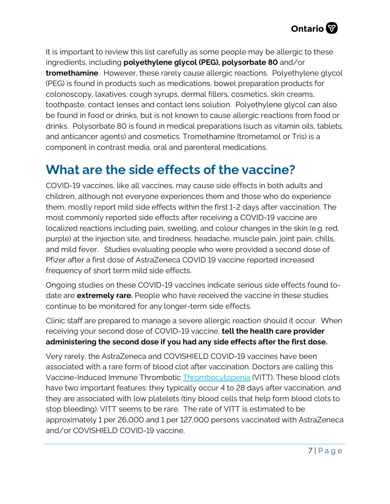

It is important to review this list carefully as some people may be allergic to these ingredients, including **polyethylene glycol (PEG), polysorbate 80** and/or **tromethamine**. However, these rarely cause allergic reactions. Polyethylene glycol (PEG) is found in products such as medications, bowel preparation products for colonoscopy, laxatives, cough syrups, dermal fillers, cosmetics, skin creams, toothpaste, contact lenses and contact lens solution. Polyethylene glycol can also be found in food or drinks, but is not known to cause allergic reactions from food or drinks. Polysorbate 80 is found in medical preparations (such as vitamin oils, tablets, and anticancer agents) and cosmetics. Tromethamine (trometamol or Tris) is a component in contrast media, oral and parenteral medications.

### **What are the side effects of the vaccine?**

COVID-19 vaccines, like all vaccines, may cause side effects in both adults and children, although not everyone experiences them and those who do experience them, mostly report mild side effects within the first 1-2 days after vaccination. The most commonly reported side effects after receiving a COVID-19 vaccine are localized reactions including pain, swelling, and colour changes in the skin (e.g. red, purple) at the injection site, and tiredness, headache, muscle pain, joint pain, chills, and mild fever. Studies evaluating people who were provided a second dose of Pfizer after a first dose of AstraZeneca COVID 19 vaccine reported increased frequency of short term mild side effects.

Ongoing studies on these COVID-19 vaccines indicate serious side effects found todate are **extremely rare.** People who have received the vaccine in these studies continue to be monitored for any longer-term side effects.

Clinic staff are prepared to manage a severe allergic reaction should it occur. When receiving your second dose of COVID-19 vaccine, **tell the health care provider administering the second dose if you had any side effects after the first dose.**

Very rarely, the AstraZeneca and COVISHIELD COVID-19 vaccines have been associated with a rare form of blood clot after vaccination. Doctors are calling this Vaccine-Induced Immune Thrombotic [Thrombocytopenia](https://covid19-sciencetable.ca/glossary/#thrombocytopenia) (VITT). These blood clots have two important features: they typically occur 4 to 28 days after vaccination, and they are associated with low platelets (tiny blood cells that help form blood clots to stop bleeding). VITT seems to be rare. The rate of VITT is estimated to be approximately 1 per 26,000 and 1 per 127,000 persons vaccinated with AstraZeneca and/or COVISHIELD COVID-19 vaccine.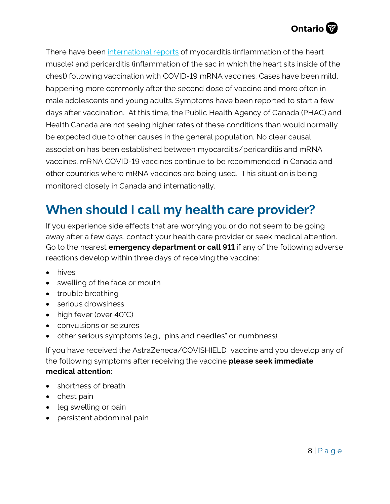

There have been [international reports](https://can01.safelinks.protection.outlook.com/?url=https%3A%2F%2Furldefense.com%2Fv3%2F__https%3A%2F%2Fwww.who.int%2Fnews%2Fitem%2F26-05-2021-gacvs-myocarditis-reported-with-covid-19-mrna-vaccines__%3B!!D0zGoin7BXfl!v_l42l6It1xK2jzMHH2EFYTq4yLNI9ncqTZkTm00dVeeRUpJTVs45I2cvIlZD4k-MAhegDM%24&data=04%7C01%7CHilary.Hall%40ontario.ca%7C70570439ae9a4eddd49708d930372299%7Ccddc1229ac2a4b97b78a0e5cacb5865c%7C0%7C0%7C637593835644225678%7CUnknown%7CTWFpbGZsb3d8eyJWIjoiMC4wLjAwMDAiLCJQIjoiV2luMzIiLCJBTiI6Ik1haWwiLCJXVCI6Mn0%3D%7C1000&sdata=XLSrKhGNAZ2drEul1CwGBR5K%2B4TWKCEuVveLzfagSi4%3D&reserved=0) of myocarditis (inflammation of the heart muscle) and pericarditis (inflammation of the sac in which the heart sits inside of the chest) following vaccination with COVID-19 mRNA vaccines. Cases have been mild, happening more commonly after the second dose of vaccine and more often in male adolescents and young adults. Symptoms have been reported to start a few days after vaccination. At this time, the Public Health Agency of Canada (PHAC) and Health Canada are not seeing higher rates of these conditions than would normally be expected due to other causes in the general population. No clear causal association has been established between myocarditis/pericarditis and mRNA vaccines. mRNA COVID-19 vaccines continue to be recommended in Canada and other countries where mRNA vaccines are being used. This situation is being monitored closely in Canada and internationally.

# **When should I call my health care provider?**

If you experience side effects that are worrying you or do not seem to be going away after a few days, contact your health care provider or seek medical attention. Go to the nearest **emergency department or call 911** if any of the following adverse reactions develop within three days of receiving the vaccine:

- hives
- swelling of the face or mouth
- trouble breathing
- serious drowsiness
- high fever (over 40°C)
- convulsions or seizures
- other serious symptoms (e.g., "pins and needles" or numbness)

If you have received the AstraZeneca/COVISHIELD vaccine and you develop any of the following symptoms after receiving the vaccine **please seek immediate medical attention**:

- shortness of breath
- chest pain
- leg swelling or pain
- persistent abdominal pain